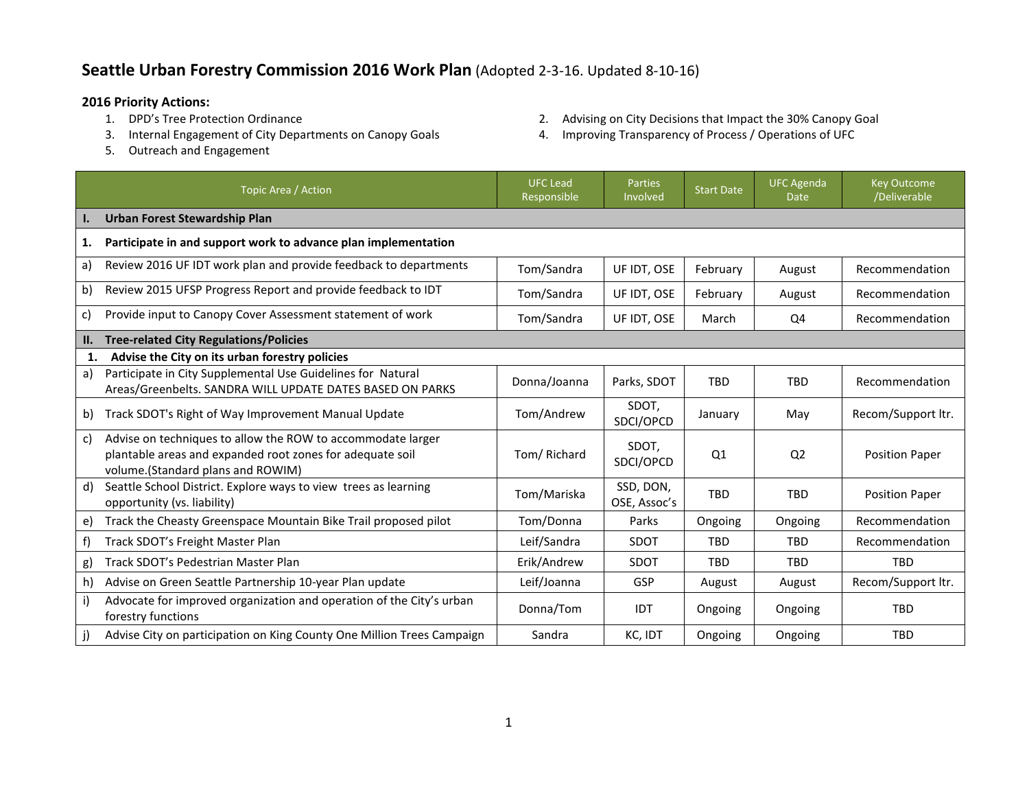## **Seattle Urban Forestry Commission 2016 Work Plan** (Adopted 2-3-16. Updated 8-10-16)

- **2016 Priority Actions:**
	- 3. Internal Engagement of City Departments on Canopy Goals 4. Improving Transparency of Process / Operations of UFC
	- 5. Outreach and Engagement
- 2. Advising on City Decisions that Impact the 30% Canopy Goal
- 

|     | Topic Area / Action                                                                                                                                           | <b>UFC Lead</b><br>Responsible | <b>Parties</b><br>Involved | <b>Start Date</b> | <b>UFC Agenda</b><br><b>Date</b> | <b>Key Outcome</b><br>/Deliverable |
|-----|---------------------------------------------------------------------------------------------------------------------------------------------------------------|--------------------------------|----------------------------|-------------------|----------------------------------|------------------------------------|
| ı.  | Urban Forest Stewardship Plan                                                                                                                                 |                                |                            |                   |                                  |                                    |
| 1.  | Participate in and support work to advance plan implementation                                                                                                |                                |                            |                   |                                  |                                    |
| a)  | Review 2016 UF IDT work plan and provide feedback to departments                                                                                              | Tom/Sandra                     | UF IDT, OSE                | February          | August                           | Recommendation                     |
| b)  | Review 2015 UFSP Progress Report and provide feedback to IDT                                                                                                  | Tom/Sandra                     | UF IDT, OSE                | February          | August                           | Recommendation                     |
| c)  | Provide input to Canopy Cover Assessment statement of work                                                                                                    | Tom/Sandra                     | UF IDT, OSE                | March             | Q4                               | Recommendation                     |
| II. | <b>Tree-related City Regulations/Policies</b>                                                                                                                 |                                |                            |                   |                                  |                                    |
| 1.  | Advise the City on its urban forestry policies                                                                                                                |                                |                            |                   |                                  |                                    |
| a)  | Participate in City Supplemental Use Guidelines for Natural<br>Areas/Greenbelts. SANDRA WILL UPDATE DATES BASED ON PARKS                                      | Donna/Joanna                   | Parks, SDOT                | <b>TBD</b>        | <b>TBD</b>                       | Recommendation                     |
| b)  | Track SDOT's Right of Way Improvement Manual Update                                                                                                           | Tom/Andrew                     | SDOT,<br>SDCI/OPCD         | January           | May                              | Recom/Support ltr.                 |
| c)  | Advise on techniques to allow the ROW to accommodate larger<br>plantable areas and expanded root zones for adequate soil<br>volume.(Standard plans and ROWIM) | Tom/ Richard                   | SDOT,<br>SDCI/OPCD         | Q <sub>1</sub>    | Q <sub>2</sub>                   | <b>Position Paper</b>              |
| d)  | Seattle School District. Explore ways to view trees as learning<br>opportunity (vs. liability)                                                                | Tom/Mariska                    | SSD, DON,<br>OSE, Assoc's  | <b>TBD</b>        | <b>TBD</b>                       | <b>Position Paper</b>              |
| e)  | Track the Cheasty Greenspace Mountain Bike Trail proposed pilot                                                                                               | Tom/Donna                      | Parks                      | Ongoing           | Ongoing                          | Recommendation                     |
| f)  | Track SDOT's Freight Master Plan                                                                                                                              | Leif/Sandra                    | <b>SDOT</b>                | <b>TBD</b>        | <b>TBD</b>                       | Recommendation                     |
| g)  | Track SDOT's Pedestrian Master Plan                                                                                                                           | Erik/Andrew                    | SDOT                       | <b>TBD</b>        | <b>TBD</b>                       | <b>TBD</b>                         |
| h)  | Advise on Green Seattle Partnership 10-year Plan update                                                                                                       | Leif/Joanna                    | GSP                        | August            | August                           | Recom/Support ltr.                 |
| i)  | Advocate for improved organization and operation of the City's urban<br>forestry functions                                                                    | Donna/Tom                      | <b>IDT</b>                 | Ongoing           | Ongoing                          | <b>TBD</b>                         |
|     | Advise City on participation on King County One Million Trees Campaign                                                                                        | Sandra                         | KC, IDT                    | Ongoing           | Ongoing                          | <b>TBD</b>                         |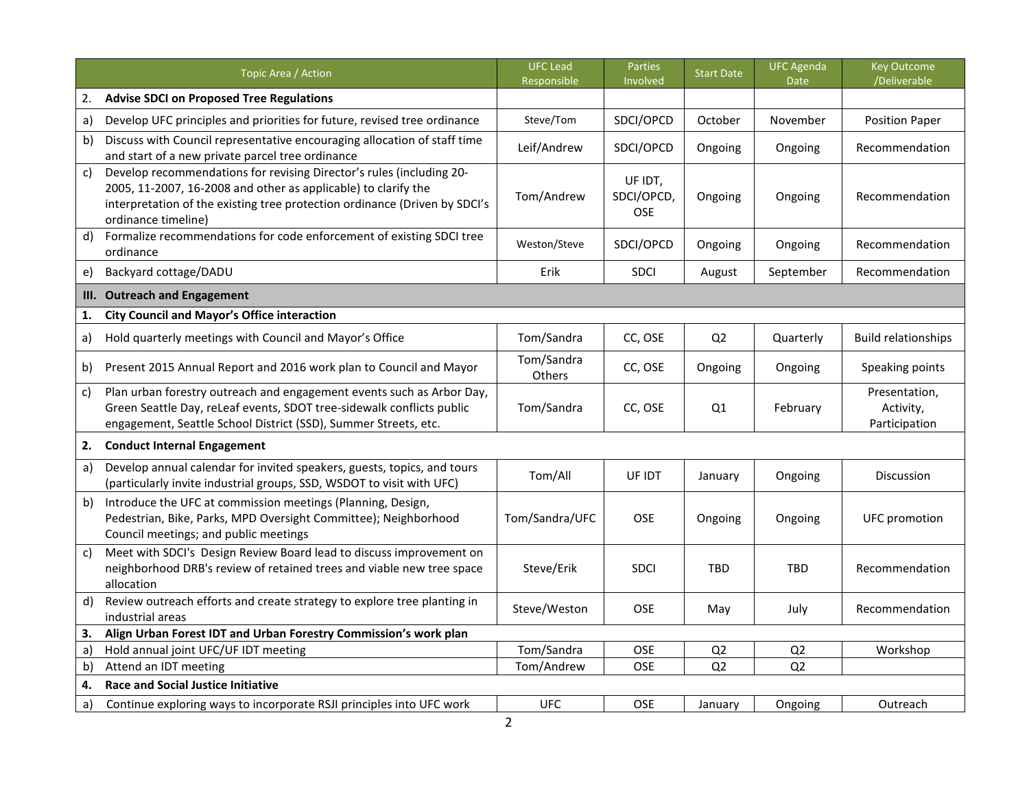|              | Topic Area / Action                                                                                                                                                                                                                         | <b>UFC Lead</b><br>Responsible | Parties<br>Involved                 | <b>Start Date</b> | <b>UFC Agenda</b><br>Date | <b>Key Outcome</b><br>/Deliverable          |
|--------------|---------------------------------------------------------------------------------------------------------------------------------------------------------------------------------------------------------------------------------------------|--------------------------------|-------------------------------------|-------------------|---------------------------|---------------------------------------------|
| 2.           | <b>Advise SDCI on Proposed Tree Regulations</b>                                                                                                                                                                                             |                                |                                     |                   |                           |                                             |
| a)           | Develop UFC principles and priorities for future, revised tree ordinance                                                                                                                                                                    | Steve/Tom                      | SDCI/OPCD                           | October           | November                  | <b>Position Paper</b>                       |
| b)           | Discuss with Council representative encouraging allocation of staff time<br>and start of a new private parcel tree ordinance                                                                                                                | Leif/Andrew                    | SDCI/OPCD                           | Ongoing           | Ongoing                   | Recommendation                              |
| $\mathsf{C}$ | Develop recommendations for revising Director's rules (including 20-<br>2005, 11-2007, 16-2008 and other as applicable) to clarify the<br>interpretation of the existing tree protection ordinance (Driven by SDCI's<br>ordinance timeline) | Tom/Andrew                     | UF IDT,<br>SDCI/OPCD,<br><b>OSE</b> | Ongoing           | Ongoing                   | Recommendation                              |
| d)           | Formalize recommendations for code enforcement of existing SDCI tree<br>ordinance                                                                                                                                                           | Weston/Steve                   | SDCI/OPCD                           | Ongoing           | Ongoing                   | Recommendation                              |
| e)           | Backyard cottage/DADU                                                                                                                                                                                                                       | Erik                           | <b>SDCI</b>                         | August            | September                 | Recommendation                              |
| III.         | <b>Outreach and Engagement</b>                                                                                                                                                                                                              |                                |                                     |                   |                           |                                             |
| 1.           | <b>City Council and Mayor's Office interaction</b>                                                                                                                                                                                          |                                |                                     |                   |                           |                                             |
| a)           | Hold quarterly meetings with Council and Mayor's Office                                                                                                                                                                                     | Tom/Sandra                     | CC, OSE                             | Q <sub>2</sub>    | Quarterly                 | <b>Build relationships</b>                  |
| b)           | Present 2015 Annual Report and 2016 work plan to Council and Mayor                                                                                                                                                                          | Tom/Sandra<br>Others           | CC, OSE                             | Ongoing           | Ongoing                   | Speaking points                             |
| c)           | Plan urban forestry outreach and engagement events such as Arbor Day,<br>Green Seattle Day, reLeaf events, SDOT tree-sidewalk conflicts public<br>engagement, Seattle School District (SSD), Summer Streets, etc.                           | Tom/Sandra                     | CC, OSE                             | Q1                | February                  | Presentation,<br>Activity,<br>Participation |
| 2.           | <b>Conduct Internal Engagement</b>                                                                                                                                                                                                          |                                |                                     |                   |                           |                                             |
| a)           | Develop annual calendar for invited speakers, guests, topics, and tours<br>(particularly invite industrial groups, SSD, WSDOT to visit with UFC)                                                                                            | Tom/All                        | UF IDT                              | January           | Ongoing                   | Discussion                                  |
| b)           | Introduce the UFC at commission meetings (Planning, Design,<br>Pedestrian, Bike, Parks, MPD Oversight Committee); Neighborhood<br>Council meetings; and public meetings                                                                     | Tom/Sandra/UFC                 | OSE                                 | Ongoing           | Ongoing                   | <b>UFC</b> promotion                        |
| C)           | Meet with SDCI's Design Review Board lead to discuss improvement on<br>neighborhood DRB's review of retained trees and viable new tree space<br>allocation                                                                                  | Steve/Erik                     | <b>SDCI</b>                         | <b>TBD</b>        | <b>TBD</b>                | Recommendation                              |
| d)           | Review outreach efforts and create strategy to explore tree planting in<br>industrial areas                                                                                                                                                 | Steve/Weston                   | <b>OSE</b>                          | May               | July                      | Recommendation                              |
| 3.           | Align Urban Forest IDT and Urban Forestry Commission's work plan                                                                                                                                                                            |                                |                                     |                   |                           |                                             |
| a)           | Hold annual joint UFC/UF IDT meeting                                                                                                                                                                                                        | Tom/Sandra                     | OSE                                 | Q <sub>2</sub>    | Q2                        | Workshop                                    |
| $\mathsf{b}$ | Attend an IDT meeting                                                                                                                                                                                                                       | Tom/Andrew                     | <b>OSE</b>                          | Q <sub>2</sub>    | Q2                        |                                             |
| 4.           | <b>Race and Social Justice Initiative</b>                                                                                                                                                                                                   |                                |                                     |                   |                           |                                             |
| $\mathsf{a}$ | Continue exploring ways to incorporate RSJI principles into UFC work                                                                                                                                                                        | <b>UFC</b>                     | OSE                                 | January           | Ongoing                   | Outreach                                    |